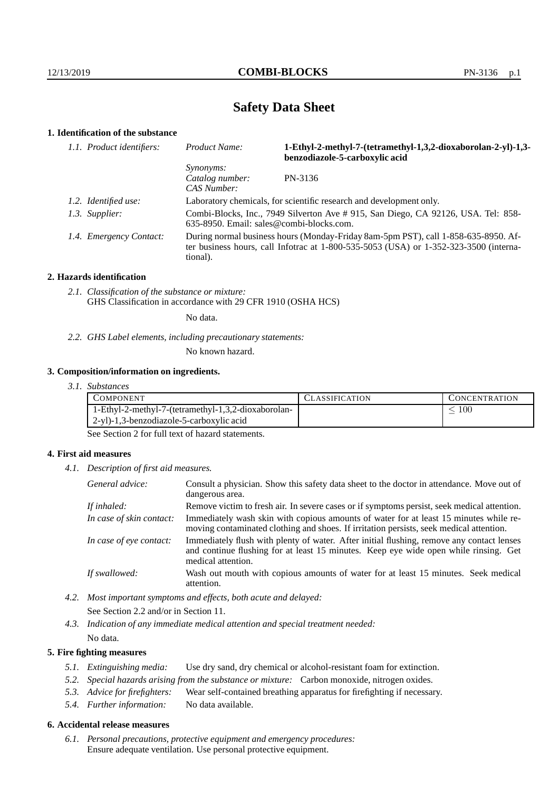# **Safety Data Sheet**

# **1. Identification of the substance**

| 1.1. Product identifiers: | Product Name:                                                                                                                                                                               | 1-Ethyl-2-methyl-7-(tetramethyl-1,3,2-dioxaborolan-2-yl)-1,3-<br>benzodiazole-5-carboxylic acid |
|---------------------------|---------------------------------------------------------------------------------------------------------------------------------------------------------------------------------------------|-------------------------------------------------------------------------------------------------|
|                           | <i>Synonyms:</i><br>Catalog number:<br>CAS Number:                                                                                                                                          | PN-3136                                                                                         |
| 1.2. Identified use:      | Laboratory chemicals, for scientific research and development only.                                                                                                                         |                                                                                                 |
| 1.3. Supplier:            | Combi-Blocks, Inc., 7949 Silverton Ave # 915, San Diego, CA 92126, USA. Tel: 858-<br>$635-8950$ . Email: sales@combi-blocks.com.                                                            |                                                                                                 |
| 1.4. Emergency Contact:   | During normal business hours (Monday-Friday 8am-5pm PST), call 1-858-635-8950. Af-<br>ter business hours, call Infotrac at $1-800-535-5053$ (USA) or $1-352-323-3500$ (interna-<br>tional). |                                                                                                 |

#### **2. Hazards identification**

*2.1. Classification of the substance or mixture:* GHS Classification in accordance with 29 CFR 1910 (OSHA HCS)

No data.

*2.2. GHS Label elements, including precautionary statements:*

No known hazard.

#### **3. Composition/information on ingredients.**

*3.1. Substances*

|                                                     | <b>CONCENTRATION</b> |
|-----------------------------------------------------|----------------------|
| 1-Ethyl-2-methyl-7-(tetramethyl-1,3,2-dioxaborolan- | 100                  |
| 2-yl)-1,3-benzodiazole-5-carboxylic acid            |                      |

See Section 2 for full text of hazard statements.

## **4. First aid measures**

*4.1. Description of first aid measures.*

| General advice:          | Consult a physician. Show this safety data sheet to the doctor in attendance. Move out of<br>dangerous area.                                                                                            |
|--------------------------|---------------------------------------------------------------------------------------------------------------------------------------------------------------------------------------------------------|
| If inhaled:              | Remove victim to fresh air. In severe cases or if symptoms persist, seek medical attention.                                                                                                             |
| In case of skin contact: | Immediately wash skin with copious amounts of water for at least 15 minutes while re-<br>moving contaminated clothing and shoes. If irritation persists, seek medical attention.                        |
| In case of eye contact:  | Immediately flush with plenty of water. After initial flushing, remove any contact lenses<br>and continue flushing for at least 15 minutes. Keep eye wide open while rinsing. Get<br>medical attention. |
| If swallowed:            | Wash out mouth with copious amounts of water for at least 15 minutes. Seek medical<br>attention.                                                                                                        |

*4.2. Most important symptoms and effects, both acute and delayed:* See Section 2.2 and/or in Section 11.

*4.3. Indication of any immediate medical attention and special treatment needed:* No data.

## **5. Fire fighting measures**

- *5.1. Extinguishing media:* Use dry sand, dry chemical or alcohol-resistant foam for extinction.
- *5.2. Special hazards arising from the substance or mixture:* Carbon monoxide, nitrogen oxides.
- *5.3. Advice for firefighters:* Wear self-contained breathing apparatus for firefighting if necessary.
- *5.4. Further information:* No data available.

# **6. Accidental release measures**

*6.1. Personal precautions, protective equipment and emergency procedures:* Ensure adequate ventilation. Use personal protective equipment.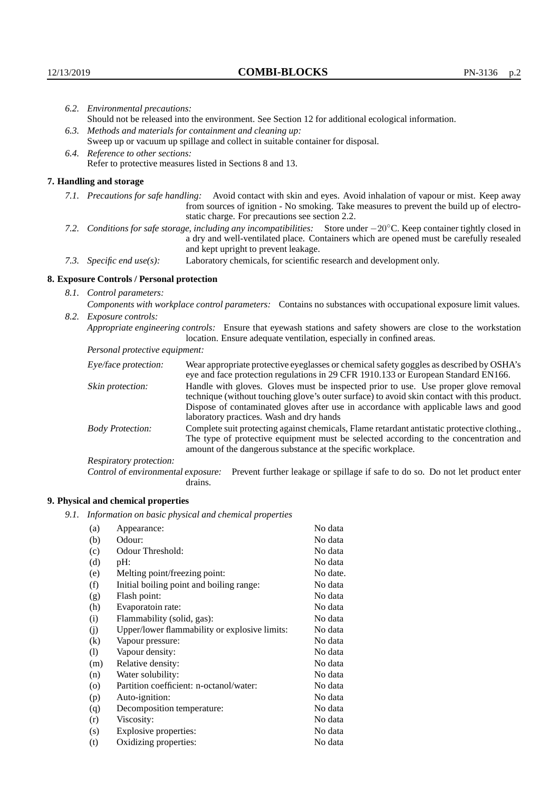|                                                                                                                                                                          | 6.2. Environmental precautions:                                                                    |                                                                                                                                                                                                                                                                            |  |  |
|--------------------------------------------------------------------------------------------------------------------------------------------------------------------------|----------------------------------------------------------------------------------------------------|----------------------------------------------------------------------------------------------------------------------------------------------------------------------------------------------------------------------------------------------------------------------------|--|--|
|                                                                                                                                                                          | Should not be released into the environment. See Section 12 for additional ecological information. |                                                                                                                                                                                                                                                                            |  |  |
|                                                                                                                                                                          | 6.3. Methods and materials for containment and cleaning up:                                        |                                                                                                                                                                                                                                                                            |  |  |
|                                                                                                                                                                          | Sweep up or vacuum up spillage and collect in suitable container for disposal.                     |                                                                                                                                                                                                                                                                            |  |  |
|                                                                                                                                                                          | 6.4. Reference to other sections:                                                                  |                                                                                                                                                                                                                                                                            |  |  |
|                                                                                                                                                                          |                                                                                                    | Refer to protective measures listed in Sections 8 and 13.                                                                                                                                                                                                                  |  |  |
|                                                                                                                                                                          | 7. Handling and storage                                                                            |                                                                                                                                                                                                                                                                            |  |  |
|                                                                                                                                                                          |                                                                                                    | 7.1. Precautions for safe handling: Avoid contact with skin and eyes. Avoid inhalation of vapour or mist. Keep away<br>from sources of ignition - No smoking. Take measures to prevent the build up of electro-<br>static charge. For precautions see section 2.2.         |  |  |
| 7.2. Conditions for safe storage, including any incompatibilities: Store under $-20^{\circ}$ C. Keep container tightly closed in<br>and kept upright to prevent leakage. |                                                                                                    | a dry and well-ventilated place. Containers which are opened must be carefully resealed                                                                                                                                                                                    |  |  |
|                                                                                                                                                                          | 7.3. Specific end use(s):                                                                          | Laboratory chemicals, for scientific research and development only.                                                                                                                                                                                                        |  |  |
|                                                                                                                                                                          | 8. Exposure Controls / Personal protection                                                         |                                                                                                                                                                                                                                                                            |  |  |
|                                                                                                                                                                          | 8.1. Control parameters:                                                                           |                                                                                                                                                                                                                                                                            |  |  |
|                                                                                                                                                                          |                                                                                                    | Components with workplace control parameters: Contains no substances with occupational exposure limit values.                                                                                                                                                              |  |  |
|                                                                                                                                                                          | 8.2. Exposure controls:                                                                            |                                                                                                                                                                                                                                                                            |  |  |
|                                                                                                                                                                          |                                                                                                    | Appropriate engineering controls: Ensure that eyewash stations and safety showers are close to the workstation<br>location. Ensure adequate ventilation, especially in confined areas.                                                                                     |  |  |
|                                                                                                                                                                          | Personal protective equipment:                                                                     |                                                                                                                                                                                                                                                                            |  |  |
|                                                                                                                                                                          | Eye/face protection:                                                                               | Wear appropriate protective eyeglasses or chemical safety goggles as described by OSHA's<br>eye and face protection regulations in 29 CFR 1910.133 or European Standard EN166.                                                                                             |  |  |
|                                                                                                                                                                          | Skin protection:                                                                                   | Handle with gloves. Gloves must be inspected prior to use. Use proper glove removal<br>technique (without touching glove's outer surface) to avoid skin contact with this product.<br>Dispose of contaminated gloves after use in accordance with applicable laws and good |  |  |

laboratory practices. Wash and dry hands Body Protection: Complete suit protecting against chemicals, Flame retardant antistatic protective clothing., The type of protective equipment must be selected according to the concentration and amount of the dangerous substance at the specific workplace.

Respiratory protection:

Control of environmental exposure: Prevent further leakage or spillage if safe to do so. Do not let product enter drains.

# **9. Physical and chemical properties**

*9.1. Information on basic physical and chemical properties*

| (a)               | Appearance:                                   | No data  |
|-------------------|-----------------------------------------------|----------|
| (b)               | Odour:                                        | No data  |
| (c)               | Odour Threshold:                              | No data  |
| (d)               | pH:                                           | No data  |
| (e)               | Melting point/freezing point:                 | No date. |
| (f)               | Initial boiling point and boiling range:      | No data  |
| (g)               | Flash point:                                  | No data  |
| (h)               | Evaporatoin rate:                             | No data  |
| (i)               | Flammability (solid, gas):                    | No data  |
| (j)               | Upper/lower flammability or explosive limits: | No data  |
| $\left( k\right)$ | Vapour pressure:                              | No data  |
| (1)               | Vapour density:                               | No data  |
| (m)               | Relative density:                             | No data  |
| (n)               | Water solubility:                             | No data  |
| $\circ$           | Partition coefficient: n-octanol/water:       | No data  |
| (p)               | Auto-ignition:                                | No data  |
| (q)               | Decomposition temperature:                    | No data  |
| (r)               | Viscosity:                                    | No data  |
| (s)               | Explosive properties:                         | No data  |
| (t)               | Oxidizing properties:                         | No data  |
|                   |                                               |          |